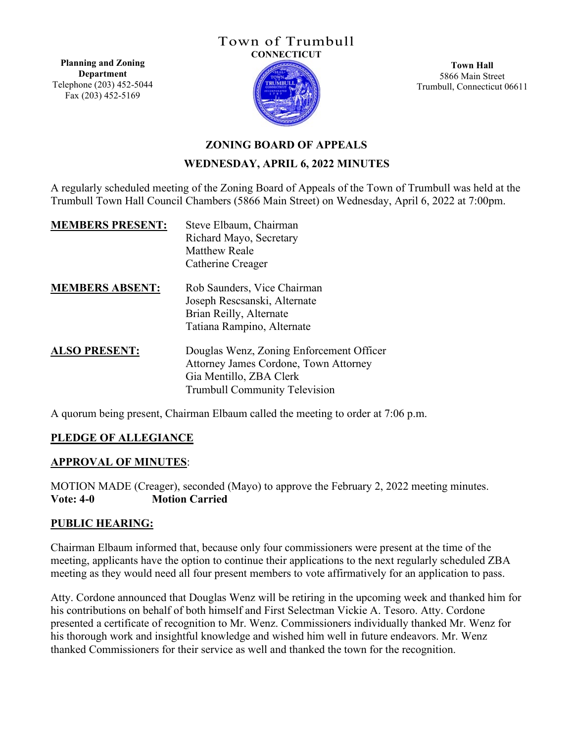## Town of Trumbull **CONNECTICUT**

**Planning and Zoning Department** Telephone (203) 452-5044 Fax (203) 452-5169



**Town Hall** 5866 Main Street Trumbull, Connecticut 06611

# **ZONING BOARD OF APPEALS WEDNESDAY, APRIL 6, 2022 MINUTES**

A regularly scheduled meeting of the Zoning Board of Appeals of the Town of Trumbull was held at the Trumbull Town Hall Council Chambers (5866 Main Street) on Wednesday, April 6, 2022 at 7:00pm.

| <b>MEMBERS PRESENT:</b> | Steve Elbaum, Chairman<br>Richard Mayo, Secretary<br><b>Matthew Reale</b><br>Catherine Creager                                                       |
|-------------------------|------------------------------------------------------------------------------------------------------------------------------------------------------|
| <b>MEMBERS ABSENT:</b>  | Rob Saunders, Vice Chairman<br>Joseph Rescsanski, Alternate<br>Brian Reilly, Alternate<br>Tatiana Rampino, Alternate                                 |
| <b>ALSO PRESENT:</b>    | Douglas Wenz, Zoning Enforcement Officer<br>Attorney James Cordone, Town Attorney<br>Gia Mentillo, ZBA Clerk<br><b>Trumbull Community Television</b> |

A quorum being present, Chairman Elbaum called the meeting to order at 7:06 p.m.

# **PLEDGE OF ALLEGIANCE**

## **APPROVAL OF MINUTES**:

MOTION MADE (Creager), seconded (Mayo) to approve the February 2, 2022 meeting minutes. **Vote: 4-0 Motion Carried**

## **PUBLIC HEARING:**

Chairman Elbaum informed that, because only four commissioners were present at the time of the meeting, applicants have the option to continue their applications to the next regularly scheduled ZBA meeting as they would need all four present members to vote affirmatively for an application to pass.

Atty. Cordone announced that Douglas Wenz will be retiring in the upcoming week and thanked him for his contributions on behalf of both himself and First Selectman Vickie A. Tesoro. Atty. Cordone presented a certificate of recognition to Mr. Wenz. Commissioners individually thanked Mr. Wenz for his thorough work and insightful knowledge and wished him well in future endeavors. Mr. Wenz thanked Commissioners for their service as well and thanked the town for the recognition.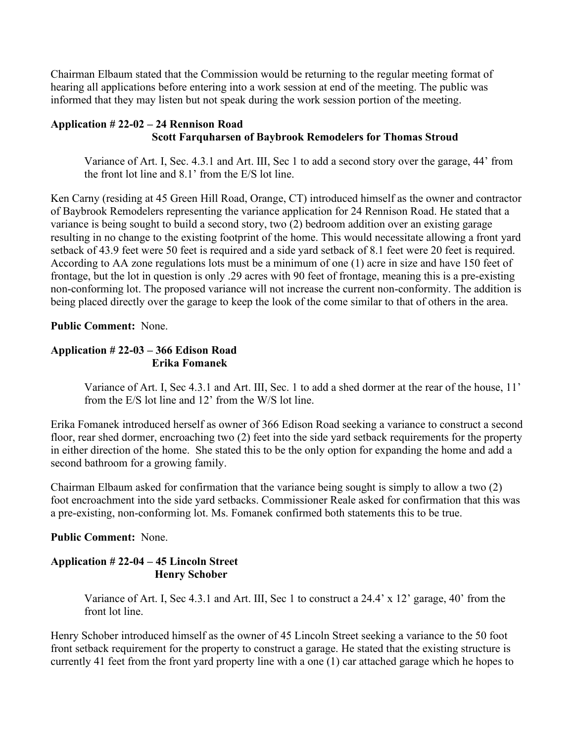Chairman Elbaum stated that the Commission would be returning to the regular meeting format of hearing all applications before entering into a work session at end of the meeting. The public was informed that they may listen but not speak during the work session portion of the meeting.

#### **Application # 22-02 – 24 Rennison Road Scott Farquharsen of Baybrook Remodelers for Thomas Stroud**

Variance of Art. Ⅰ, Sec. 4.3.1 and Art. Ⅲ, Sec 1 to add a second story over the garage, 44' from the front lot line and 8.1' from the E/S lot line.

Ken Carny (residing at 45 Green Hill Road, Orange, CT) introduced himself as the owner and contractor of Baybrook Remodelers representing the variance application for 24 Rennison Road. He stated that a variance is being sought to build a second story, two (2) bedroom addition over an existing garage resulting in no change to the existing footprint of the home. This would necessitate allowing a front yard setback of 43.9 feet were 50 feet is required and a side yard setback of 8.1 feet were 20 feet is required. According to AA zone regulations lots must be a minimum of one (1) acre in size and have 150 feet of frontage, but the lot in question is only .29 acres with 90 feet of frontage, meaning this is a pre-existing non-conforming lot. The proposed variance will not increase the current non-conformity. The addition is being placed directly over the garage to keep the look of the come similar to that of others in the area.

**Public Comment:** None.

## **Application # 22-03 – 366 Edison Road Erika Fomanek**

Variance of Art. Ⅰ, Sec 4.3.1 and Art. Ⅲ, Sec. 1 to add a shed dormer at the rear of the house, 11' from the E/S lot line and 12' from the W/S lot line.

Erika Fomanek introduced herself as owner of 366 Edison Road seeking a variance to construct a second floor, rear shed dormer, encroaching two (2) feet into the side yard setback requirements for the property in either direction of the home. She stated this to be the only option for expanding the home and add a second bathroom for a growing family.

Chairman Elbaum asked for confirmation that the variance being sought is simply to allow a two (2) foot encroachment into the side yard setbacks. Commissioner Reale asked for confirmation that this was a pre-existing, non-conforming lot. Ms. Fomanek confirmed both statements this to be true.

## **Public Comment:** None.

## **Application # 22-04 – 45 Lincoln Street Henry Schober**

Variance of Art. Ⅰ, Sec 4.3.1 and Art. Ⅲ, Sec 1 to construct a 24.4' x 12' garage, 40' from the front lot line.

Henry Schober introduced himself as the owner of 45 Lincoln Street seeking a variance to the 50 foot front setback requirement for the property to construct a garage. He stated that the existing structure is currently 41 feet from the front yard property line with a one (1) car attached garage which he hopes to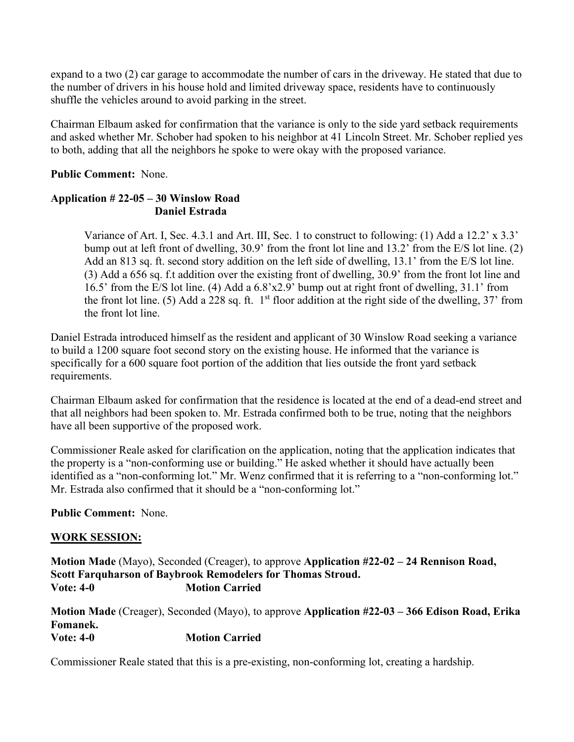expand to a two (2) car garage to accommodate the number of cars in the driveway. He stated that due to the number of drivers in his house hold and limited driveway space, residents have to continuously shuffle the vehicles around to avoid parking in the street.

Chairman Elbaum asked for confirmation that the variance is only to the side yard setback requirements and asked whether Mr. Schober had spoken to his neighbor at 41 Lincoln Street. Mr. Schober replied yes to both, adding that all the neighbors he spoke to were okay with the proposed variance.

## **Public Comment:** None.

## **Application # 22-05 – 30 Winslow Road Daniel Estrada**

Variance of Art. Ⅰ, Sec. 4.3.1 and Art. Ⅲ, Sec. 1 to construct to following: (1) Add a 12.2' x 3.3' bump out at left front of dwelling, 30.9' from the front lot line and 13.2' from the E/S lot line. (2) Add an 813 sq. ft. second story addition on the left side of dwelling, 13.1' from the E/S lot line. (3) Add a 656 sq. f.t addition over the existing front of dwelling, 30.9' from the front lot line and 16.5' from the E/S lot line. (4) Add a 6.8'x2.9' bump out at right front of dwelling, 31.1' from the front lot line. (5) Add a 228 sq. ft.  $1<sup>st</sup>$  floor addition at the right side of the dwelling, 37' from the front lot line.

Daniel Estrada introduced himself as the resident and applicant of 30 Winslow Road seeking a variance to build a 1200 square foot second story on the existing house. He informed that the variance is specifically for a 600 square foot portion of the addition that lies outside the front yard setback requirements.

Chairman Elbaum asked for confirmation that the residence is located at the end of a dead-end street and that all neighbors had been spoken to. Mr. Estrada confirmed both to be true, noting that the neighbors have all been supportive of the proposed work.

Commissioner Reale asked for clarification on the application, noting that the application indicates that the property is a "non-conforming use or building." He asked whether it should have actually been identified as a "non-conforming lot." Mr. Wenz confirmed that it is referring to a "non-conforming lot." Mr. Estrada also confirmed that it should be a "non-conforming lot."

# **Public Comment:** None.

## **WORK SESSION:**

**Motion Made** (Mayo), Seconded (Creager), to approve **Application #22-02 – 24 Rennison Road, Scott Farquharson of Baybrook Remodelers for Thomas Stroud. Vote: 4-0 Motion Carried** 

**Motion Made** (Creager), Seconded (Mayo), to approve **Application #22-03 – 366 Edison Road, Erika Fomanek. Vote: 4-0 Motion Carried** 

Commissioner Reale stated that this is a pre-existing, non-conforming lot, creating a hardship.